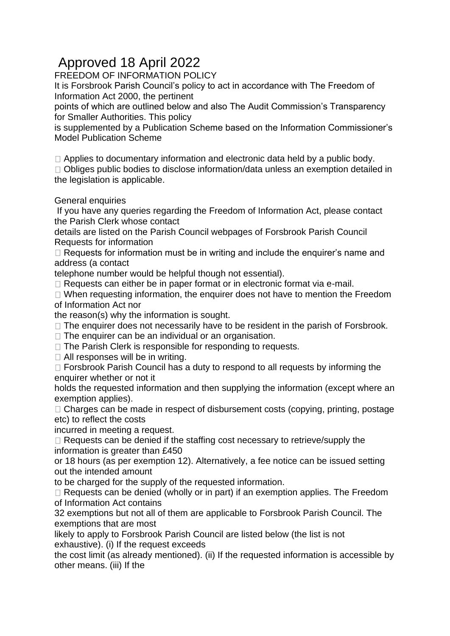## Approved 18 April 2022

FREEDOM OF INFORMATION POLICY

It is Forsbrook Parish Council's policy to act in accordance with The Freedom of Information Act 2000, the pertinent

points of which are outlined below and also The Audit Commission's Transparency for Smaller Authorities. This policy

is supplemented by a Publication Scheme based on the Information Commissioner's Model Publication Scheme

 $\Box$  Applies to documentary information and electronic data held by a public body.

□ Obliges public bodies to disclose information/data unless an exemption detailed in the legislation is applicable.

## General enquiries

If you have any queries regarding the Freedom of Information Act, please contact the Parish Clerk whose contact

details are listed on the Parish Council webpages of Forsbrook Parish Council Requests for information

 $\Box$  Requests for information must be in writing and include the enquirer's name and address (a contact

telephone number would be helpful though not essential).

 $\Box$  Requests can either be in paper format or in electronic format via e-mail.

 $\Box$  When requesting information, the enquirer does not have to mention the Freedom of Information Act nor

the reason(s) why the information is sought.

 $\Box$  The enquirer does not necessarily have to be resident in the parish of Forsbrook.

- $\Box$  The enquirer can be an individual or an organisation.
- □ The Parish Clerk is responsible for responding to requests.

 $\Box$  All responses will be in writing.

 $\Box$  Forsbrook Parish Council has a duty to respond to all requests by informing the enquirer whether or not it

holds the requested information and then supplying the information (except where an exemption applies).

 $\Box$  Charges can be made in respect of disbursement costs (copying, printing, postage etc) to reflect the costs

incurred in meeting a request.

 $\Box$  Requests can be denied if the staffing cost necessary to retrieve/supply the information is greater than £450

or 18 hours (as per exemption 12). Alternatively, a fee notice can be issued setting out the intended amount

to be charged for the supply of the requested information.

 $\Box$  Requests can be denied (wholly or in part) if an exemption applies. The Freedom of Information Act contains

32 exemptions but not all of them are applicable to Forsbrook Parish Council. The exemptions that are most

likely to apply to Forsbrook Parish Council are listed below (the list is not exhaustive). (i) If the request exceeds

the cost limit (as already mentioned). (ii) If the requested information is accessible by other means. (iii) If the